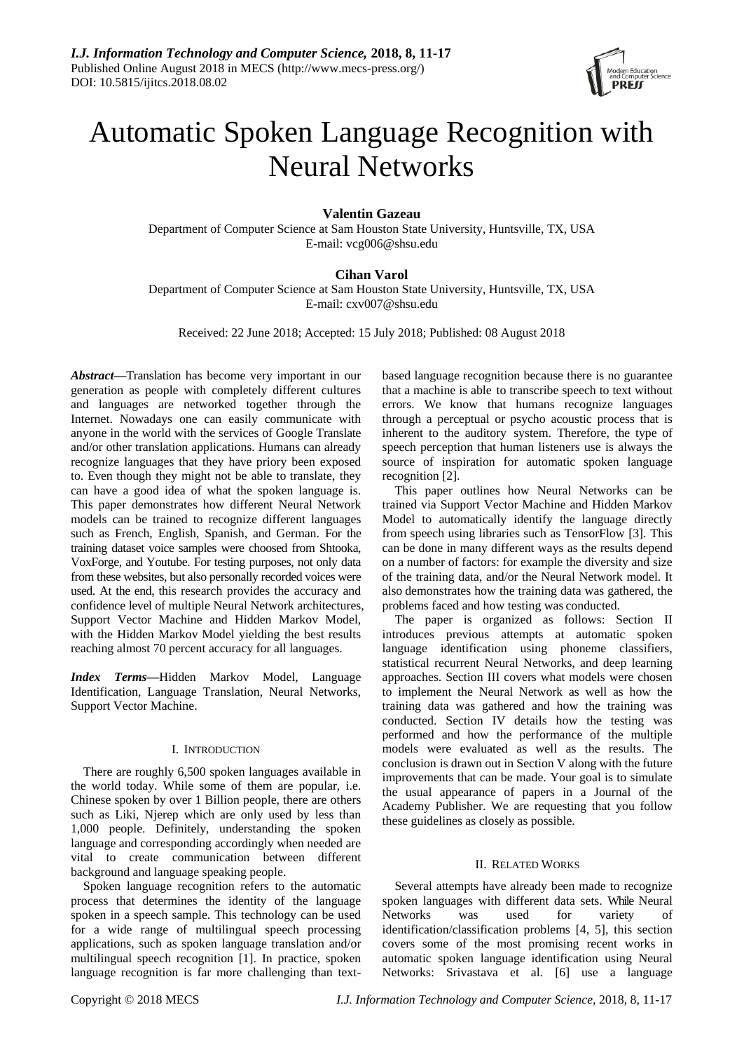

# Automatic Spoken Language Recognition with Neural Networks

# **Valentin Gazeau**

Department of Computer Science at Sam Houston State University, Huntsville, TX, USA E-mail: vcg006@shsu.edu

# **Cihan Varol**

Department of Computer Science at Sam Houston State University, Huntsville, TX, USA E-mail: cxv007@shsu.edu

Received: 22 June 2018; Accepted: 15 July 2018; Published: 08 August 2018

*Abstract***—**Translation has become very important in our generation as people with completely different cultures and languages are networked together through the Internet. Nowadays one can easily communicate with anyone in the world with the services of Google Translate and/or other translation applications. Humans can already recognize languages that they have priory been exposed to. Even though they might not be able to translate, they can have a good idea of what the spoken language is. This paper demonstrates how different Neural Network models can be trained to recognize different languages such as French, English, Spanish, and German. For the training dataset voice samples were choosed from Shtooka, VoxForge, and Youtube. For testing purposes, not only data from these websites, but also personally recorded voices were used. At the end, this research provides the accuracy and confidence level of multiple Neural Network architectures, Support Vector Machine and Hidden Markov Model, with the Hidden Markov Model yielding the best results reaching almost 70 percent accuracy for all languages.

*Index Terms***—**Hidden Markov Model, Language Identification, Language Translation, Neural Networks, Support Vector Machine.

# I. INTRODUCTION

There are roughly 6,500 spoken languages available in the world today. While some of them are popular, i.e. Chinese spoken by over 1 Billion people, there are others such as Liki, Njerep which are only used by less than 1,000 people. Definitely, understanding the spoken language and corresponding accordingly when needed are vital to create communication between different background and language speaking people.

Spoken language recognition refers to the automatic process that determines the identity of the language spoken in a speech sample. This technology can be used for a wide range of multilingual speech processing applications, such as spoken language translation and/or multilingual speech recognition [1]. In practice, spoken language recognition is far more challenging than textbased language recognition because there is no guarantee that a machine is able to transcribe speech to text without errors. We know that humans recognize languages through a perceptual or psycho acoustic process that is inherent to the auditory system. Therefore, the type of speech perception that human listeners use is always the source of inspiration for automatic spoken language recognition [2].

This paper outlines how Neural Networks can be trained via Support Vector Machine and Hidden Markov Model to automatically identify the language directly from speech using libraries such as TensorFlow [3]. This can be done in many different ways as the results depend on a number of factors: for example the diversity and size of the training data, and/or the Neural Network model. It also demonstrates how the training data was gathered, the problems faced and how testing was conducted.

The paper is organized as follows: Section II introduces previous attempts at automatic spoken language identification using phoneme classifiers, statistical recurrent Neural Networks, and deep learning approaches. Section III covers what models were chosen to implement the Neural Network as well as how the training data was gathered and how the training was conducted. Section IV details how the testing was performed and how the performance of the multiple models were evaluated as well as the results. The conclusion is drawn out in Section V along with the future improvements that can be made. Your goal is to simulate the usual appearance of papers in a Journal of the Academy Publisher. We are requesting that you follow these guidelines as closely as possible.

# II. RELATED WORKS

Several attempts have already been made to recognize spoken languages with different data sets. While Neural Networks was used for variety identification/classification problems [4, 5], this section covers some of the most promising recent works in automatic spoken language identification using Neural Networks: Srivastava et al. [6] use a language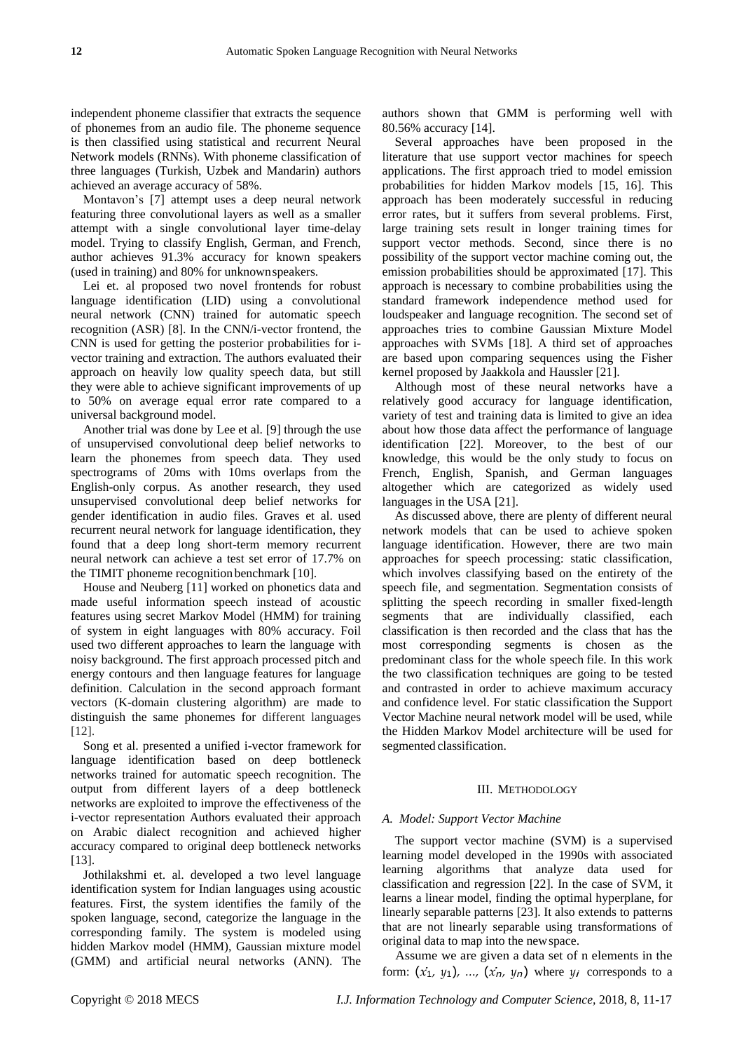independent phoneme classifier that extracts the sequence of phonemes from an audio file. The phoneme sequence is then classified using statistical and recurrent Neural Network models (RNNs). With phoneme classification of three languages (Turkish, Uzbek and Mandarin) authors achieved an average accuracy of 58%.

Montavon's [7] attempt uses a deep neural network featuring three convolutional layers as well as a smaller attempt with a single convolutional layer time-delay model. Trying to classify English, German, and French, author achieves 91.3% accuracy for known speakers (used in training) and 80% for unknownspeakers.

Lei et. al proposed two novel frontends for robust language identification (LID) using a convolutional neural network (CNN) trained for automatic speech recognition (ASR) [8]. In the CNN/i-vector frontend, the CNN is used for getting the posterior probabilities for ivector training and extraction. The authors evaluated their approach on heavily low quality speech data, but still they were able to achieve significant improvements of up to 50% on average equal error rate compared to a universal background model.

Another trial was done by Lee et al. [9] through the use of unsupervised convolutional deep belief networks to learn the phonemes from speech data. They used spectrograms of 20ms with 10ms overlaps from the English-only corpus. As another research, they used unsupervised convolutional deep belief networks for gender identification in audio files. Graves et al. used recurrent neural network for language identification, they found that a deep long short-term memory recurrent neural network can achieve a test set error of 17.7% on the TIMIT phoneme recognition benchmark [10].

House and Neuberg [11] worked on phonetics data and made useful information speech instead of acoustic features using secret Markov Model (HMM) for training of system in eight languages with 80% accuracy. Foil used two different approaches to learn the language with noisy background. The first approach processed pitch and energy contours and then language features for language definition. Calculation in the second approach formant vectors (K-domain clustering algorithm) are made to distinguish the same phonemes for different languages [12].

Song et al. presented a unified i-vector framework for language identification based on deep bottleneck networks trained for automatic speech recognition. The output from different layers of a deep bottleneck networks are exploited to improve the effectiveness of the i-vector representation Authors evaluated their approach on Arabic dialect recognition and achieved higher accuracy compared to original deep bottleneck networks [13].

Jothilakshmi et. al. developed a two level language identification system for Indian languages using acoustic features. First, the system identifies the family of the spoken language, second, categorize the language in the corresponding family. The system is modeled using hidden Markov model (HMM), Gaussian mixture model (GMM) and artificial neural networks (ANN). The

authors shown that GMM is performing well with 80.56% accuracy [14].

Several approaches have been proposed in the literature that use support vector machines for speech applications. The first approach tried to model emission probabilities for hidden Markov models [15, 16]. This approach has been moderately successful in reducing error rates, but it suffers from several problems. First, large training sets result in longer training times for support vector methods. Second, since there is no possibility of the support vector machine coming out, the emission probabilities should be approximated [17]. This approach is necessary to combine probabilities using the standard framework independence method used for loudspeaker and language recognition. The second set of approaches tries to combine Gaussian Mixture Model approaches with SVMs [18]. A third set of approaches are based upon comparing sequences using the Fisher kernel proposed by Jaakkola and Haussler [21].

Although most of these neural networks have a relatively good accuracy for language identification, variety of test and training data is limited to give an idea about how those data affect the performance of language identification [22]. Moreover, to the best of our knowledge, this would be the only study to focus on French, English, Spanish, and German languages altogether which are categorized as widely used languages in the USA [21].

As discussed above, there are plenty of different neural network models that can be used to achieve spoken language identification. However, there are two main approaches for speech processing: static classification, which involves classifying based on the entirety of the speech file, and segmentation. Segmentation consists of splitting the speech recording in smaller fixed-length segments that are individually classified, each classification is then recorded and the class that has the most corresponding segments is chosen as the predominant class for the whole speech file. In this work the two classification techniques are going to be tested and contrasted in order to achieve maximum accuracy and confidence level. For static classification the Support Vector Machine neural network model will be used, while the Hidden Markov Model architecture will be used for segmented classification.

### III. METHODOLOGY

### *A. Model: Support Vector Machine*

The support vector machine (SVM) is a supervised learning model developed in the 1990s with associated learning algorithms that analyze data used for classification and regression [22]. In the case of SVM, it learns a linear model, finding the optimal hyperplane, for linearly separable patterns [23]. It also extends to patterns that are not linearly separable using transformations of original data to map into the newspace.

Assume we are given a data set of n elements in the form:  $(x_1, y_1)$ , ...,  $(x_n, y_n)$  where  $y_i$  corresponds to a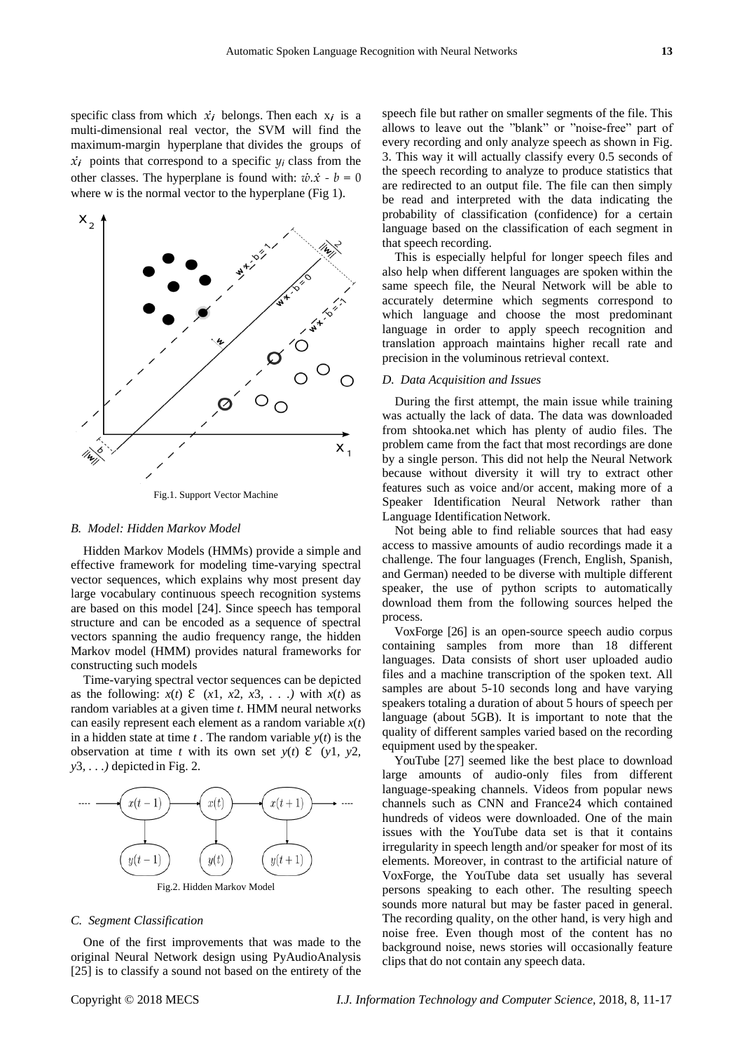specific class from which  $\dot{x}_i$  belongs. Then each  $x_i$  is a multi-dimensional real vector, the SVM will find the maximum-margin hyperplane that divides the groups of  $\dot{x}$ *i* points that correspond to a specific  $y_i$  class from the other classes. The hyperplane is found with:  $\dot{w} \cdot \dot{x} - b = 0$ where w is the normal vector to the hyperplane (Fig 1).



Fig.1. Support Vector Machine

## *B. Model: Hidden Markov Model*

Hidden Markov Models (HMMs) provide a simple and effective framework for modeling time-varying spectral vector sequences, which explains why most present day large vocabulary continuous speech recognition systems are based on this model [24]. Since speech has temporal structure and can be encoded as a sequence of spectral vectors spanning the audio frequency range, the hidden Markov model (HMM) provides natural frameworks for constructing such models

Time-varying spectral vector sequences can be depicted as the following:  $x(t) \in (x_1, x_2, x_3, \ldots)$  with  $x(t)$  as random variables at a given time *t*. HMM neural networks can easily represent each element as a random variable *x*(*t*) in a hidden state at time  $t$ . The random variable  $y(t)$  is the observation at time *t* with its own set  $y(t)$   $\mathcal{E}$  ( $y1$ ,  $y2$ , *y*3*, . . .)* depicted in Fig. 2.



# *C. Segment Classification*

One of the first improvements that was made to the original Neural Network design using PyAudioAnalysis [25] is to classify a sound not based on the entirety of the speech file but rather on smaller segments of the file. This allows to leave out the "blank" or "noise-free" part of every recording and only analyze speech as shown in Fig. 3. This way it will actually classify every 0.5 seconds of the speech recording to analyze to produce statistics that are redirected to an output file. The file can then simply be read and interpreted with the data indicating the probability of classification (confidence) for a certain language based on the classification of each segment in that speech recording.

This is especially helpful for longer speech files and also help when different languages are spoken within the same speech file, the Neural Network will be able to accurately determine which segments correspond to which language and choose the most predominant language in order to apply speech recognition and translation approach maintains higher recall rate and precision in the voluminous retrieval context.

# *D. Data Acquisition and Issues*

During the first attempt, the main issue while training was actually the lack of data. The data was downloaded from shtooka.net which has plenty of audio files. The problem came from the fact that most recordings are done by a single person. This did not help the Neural Network because without diversity it will try to extract other features such as voice and/or accent, making more of a Speaker Identification Neural Network rather than Language Identification Network.

Not being able to find reliable sources that had easy access to massive amounts of audio recordings made it a challenge. The four languages (French, English, Spanish, and German) needed to be diverse with multiple different speaker, the use of python scripts to automatically download them from the following sources helped the process.

VoxForge [26] is an open-source speech audio corpus containing samples from more than 18 different languages. Data consists of short user uploaded audio files and a machine transcription of the spoken text. All samples are about 5-10 seconds long and have varying speakers totaling a duration of about 5 hours of speech per language (about 5GB). It is important to note that the quality of different samples varied based on the recording equipment used by the speaker.

YouTube [27] seemed like the best place to download large amounts of audio-only files from different language-speaking channels. Videos from popular news channels such as CNN and France24 which contained hundreds of videos were downloaded. One of the main issues with the YouTube data set is that it contains irregularity in speech length and/or speaker for most of its elements. Moreover, in contrast to the artificial nature of VoxForge, the YouTube data set usually has several persons speaking to each other. The resulting speech sounds more natural but may be faster paced in general. The recording quality, on the other hand, is very high and noise free. Even though most of the content has no background noise, news stories will occasionally feature clips that do not contain any speech data.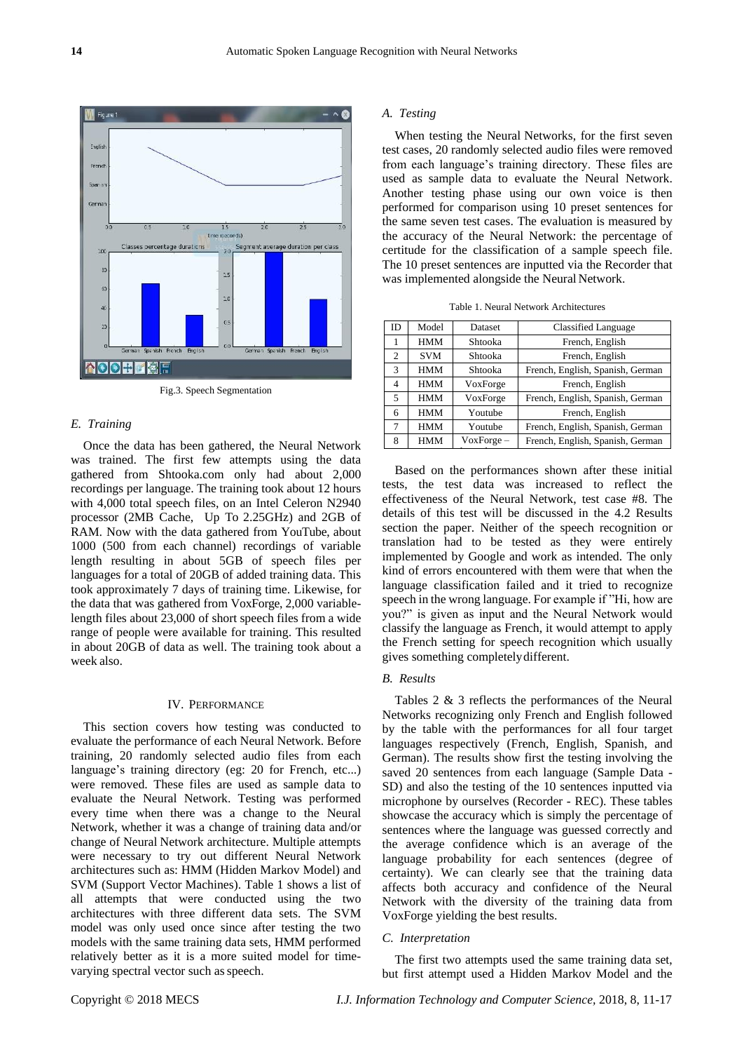

Fig.3. Speech Segmentation

# *E. Training*

Once the data has been gathered, the Neural Network was trained. The first few attempts using the data gathered from Shtooka.com only had about 2,000 recordings per language. The training took about 12 hours with 4,000 total speech files, on an Intel Celeron N2940 processor (2MB Cache, Up To 2.25GHz) and 2GB of RAM. Now with the data gathered from YouTube, about 1000 (500 from each channel) recordings of variable length resulting in about 5GB of speech files per languages for a total of 20GB of added training data. This took approximately 7 days of training time. Likewise, for the data that was gathered from VoxForge, 2,000 variablelength files about 23,000 of short speech files from a wide range of people were available for training. This resulted in about 20GB of data as well. The training took about a week also.

## IV. PERFORMANCE

This section covers how testing was conducted to evaluate the performance of each Neural Network. Before training, 20 randomly selected audio files from each language's training directory (eg: 20 for French, etc...) were removed. These files are used as sample data to evaluate the Neural Network. Testing was performed every time when there was a change to the Neural Network, whether it was a change of training data and/or change of Neural Network architecture. Multiple attempts were necessary to try out different Neural Network architectures such as: HMM (Hidden Markov Model) and SVM (Support Vector Machines). Table 1 shows a list of all attempts that were conducted using the two architectures with three different data sets. The SVM model was only used once since after testing the two models with the same training data sets, HMM performed relatively better as it is a more suited model for timevarying spectral vector such asspeech.

## *A. Testing*

When testing the Neural Networks, for the first seven test cases, 20 randomly selected audio files were removed from each language's training directory. These files are used as sample data to evaluate the Neural Network. Another testing phase using our own voice is then performed for comparison using 10 preset sentences for the same seven test cases. The evaluation is measured by the accuracy of the Neural Network: the percentage of certitude for the classification of a sample speech file. The 10 preset sentences are inputted via the Recorder that was implemented alongside the Neural Network.

| ID             | Model      | Dataset      | <b>Classified Language</b>       |
|----------------|------------|--------------|----------------------------------|
| 1              | <b>HMM</b> | Shtooka      | French, English                  |
| 2              | <b>SVM</b> | Shtooka      | French, English                  |
| 3              | <b>HMM</b> | Shtooka      | French, English, Spanish, German |
| $\overline{4}$ | <b>HMM</b> | VoxForge     | French, English                  |
| 5              | <b>HMM</b> | VoxForge     | French, English, Spanish, German |
| 6              | <b>HMM</b> | Youtube      | French, English                  |
| 7              | <b>HMM</b> | Youtube      | French, English, Spanish, German |
| 8              | <b>HMM</b> | $VoxForce -$ | French, English, Spanish, German |
|                |            |              |                                  |

Table 1. Neural Network Architectures

Based on the performances shown after these initial tests, the test data was increased to reflect the effectiveness of the Neural Network, test case #8. The details of this test will be discussed in the 4.2 Results section the paper. Neither of the speech recognition or translation had to be tested as they were entirely implemented by Google and work as intended. The only kind of errors encountered with them were that when the language classification failed and it tried to recognize speech in the wrong language. For example if "Hi, how are you?" is given as input and the Neural Network would classify the language as French, it would attempt to apply the French setting for speech recognition which usually gives something completelydifferent.

# *B. Results*

Tables 2 & 3 reflects the performances of the Neural Networks recognizing only French and English followed by the table with the performances for all four target languages respectively (French, English, Spanish, and German). The results show first the testing involving the saved 20 sentences from each language (Sample Data - SD) and also the testing of the 10 sentences inputted via microphone by ourselves (Recorder - REC). These tables showcase the accuracy which is simply the percentage of sentences where the language was guessed correctly and the average confidence which is an average of the language probability for each sentences (degree of certainty). We can clearly see that the training data affects both accuracy and confidence of the Neural Network with the diversity of the training data from VoxForge yielding the best results.

### *C. Interpretation*

The first two attempts used the same training data set, but first attempt used a Hidden Markov Model and the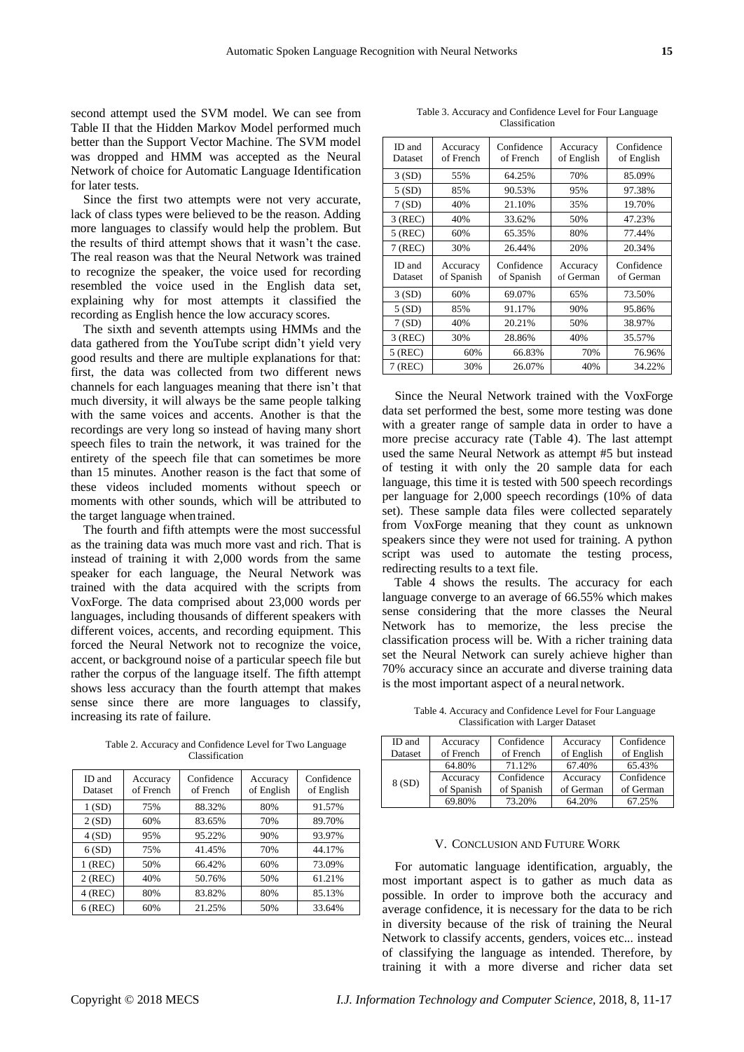second attempt used the SVM model. We can see from Table II that the Hidden Markov Model performed much better than the Support Vector Machine. The SVM model was dropped and HMM was accepted as the Neural Network of choice for Automatic Language Identification for later tests.

Since the first two attempts were not very accurate, lack of class types were believed to be the reason. Adding more languages to classify would help the problem. But the results of third attempt shows that it wasn't the case. The real reason was that the Neural Network was trained to recognize the speaker, the voice used for recording resembled the voice used in the English data set, explaining why for most attempts it classified the recording as English hence the low accuracy scores.

The sixth and seventh attempts using HMMs and the data gathered from the YouTube script didn't yield very good results and there are multiple explanations for that: first, the data was collected from two different news channels for each languages meaning that there isn't that much diversity, it will always be the same people talking with the same voices and accents. Another is that the recordings are very long so instead of having many short speech files to train the network, it was trained for the entirety of the speech file that can sometimes be more than 15 minutes. Another reason is the fact that some of these videos included moments without speech or moments with other sounds, which will be attributed to the target language whentrained.

The fourth and fifth attempts were the most successful as the training data was much more vast and rich. That is instead of training it with 2,000 words from the same speaker for each language, the Neural Network was trained with the data acquired with the scripts from VoxForge. The data comprised about 23,000 words per languages, including thousands of different speakers with different voices, accents, and recording equipment. This forced the Neural Network not to recognize the voice, accent, or background noise of a particular speech file but rather the corpus of the language itself. The fifth attempt shows less accuracy than the fourth attempt that makes sense since there are more languages to classify, increasing its rate of failure.

Table 2. Accuracy and Confidence Level for Two Language Classification

| ID and<br>Dataset | Accuracy<br>of French | Confidence<br>of French | Accuracy<br>of English | Confidence<br>of English |
|-------------------|-----------------------|-------------------------|------------------------|--------------------------|
| 1(SD)             | 75%                   | 88.32%                  | 80%                    | 91.57%                   |
| 2(SD)             | 60%                   | 83.65%                  | 70%                    | 89.70%                   |
| 4(SD)             | 95%                   | 95.22%                  | 90%                    | 93.97%                   |
| 6(SD)             | 75%                   | 41.45%                  | 70%                    | 44.17%                   |
| $1$ (REC)         | 50%                   | 66.42%                  | 60%                    | 73.09%                   |
| $2$ (REC)         | 40%                   | 50.76%                  | 50%                    | 61.21%                   |
| $4$ (REC)         | 80%                   | 83.82%                  | 80%                    | 85.13%                   |
| $6$ (REC)         | 60%                   | 21.25%                  | 50%                    | 33.64%                   |

Table 3. Accuracy and Confidence Level for Four Language Classification

| ID and<br>Dataset | Accuracy<br>of French  | Confidence<br>of French  | Accuracy<br>of English | Confidence<br>of English |
|-------------------|------------------------|--------------------------|------------------------|--------------------------|
| 3(SD)             | 55%                    | 64.25%                   | 70%                    | 85.09%                   |
| 5(SD)             | 85%                    | 90.53%                   | 95%                    | 97.38%                   |
| 7(SD)             | 40%                    | 21.10%                   | 35%                    | 19.70%                   |
| $3$ (REC)         | 40%                    | 33.62%                   | 50%                    | 47.23%                   |
| $5$ (REC)         | 60%                    | 65.35%                   | 80%                    | 77.44%                   |
| $7$ (REC)         | 30%                    | 26.44%                   | 20%                    | 20.34%                   |
| ID and<br>Dataset | Accuracy<br>of Spanish | Confidence<br>of Spanish | Accuracy<br>of German  | Confidence<br>of German  |
| 3(SD)             | 60%                    | 69.07%                   | 65%                    | 73.50%                   |
| 5(SD)             | 85%                    | 91.17%                   | 90%                    | 95.86%                   |
| 7(SD)             | 40%                    | 20.21%                   | 50%                    | 38.97%                   |
|                   |                        |                          |                        |                          |
| 3 (REC)           | 30%                    | 28.86%                   | 40%                    | 35.57%                   |
| $5$ (REC)         | 60%                    | 66.83%                   | 70%                    | 76.96%                   |

Since the Neural Network trained with the VoxForge data set performed the best, some more testing was done with a greater range of sample data in order to have a more precise accuracy rate (Table 4). The last attempt used the same Neural Network as attempt #5 but instead of testing it with only the 20 sample data for each language, this time it is tested with 500 speech recordings per language for 2,000 speech recordings (10% of data set). These sample data files were collected separately from VoxForge meaning that they count as unknown speakers since they were not used for training. A python script was used to automate the testing process, redirecting results to a text file.

Table 4 shows the results. The accuracy for each language converge to an average of 66.55% which makes sense considering that the more classes the Neural Network has to memorize, the less precise the classification process will be. With a richer training data set the Neural Network can surely achieve higher than 70% accuracy since an accurate and diverse training data is the most important aspect of a neuralnetwork.

Table 4. Accuracy and Confidence Level for Four Language Classification with Larger Dataset

| ID and<br>Dataset | Accuracy<br>of French | Confidence<br>of French | Accuracy<br>of English | Confidence<br>of English |
|-------------------|-----------------------|-------------------------|------------------------|--------------------------|
|                   | 64.80%                | 71.12%                  | 67.40%                 | 65.43%                   |
| 8 (SD)            | Accuracy              | Confidence              | Accuracy               | Confidence               |
|                   | of Spanish            | of Spanish              | of German              | of German                |
|                   | 69.80%                | 73.20%                  | 64.20%                 | 67.25%                   |

### V. CONCLUSION AND FUTURE WORK

For automatic language identification, arguably, the most important aspect is to gather as much data as possible. In order to improve both the accuracy and average confidence, it is necessary for the data to be rich in diversity because of the risk of training the Neural Network to classify accents, genders, voices etc... instead of classifying the language as intended. Therefore, by training it with a more diverse and richer data set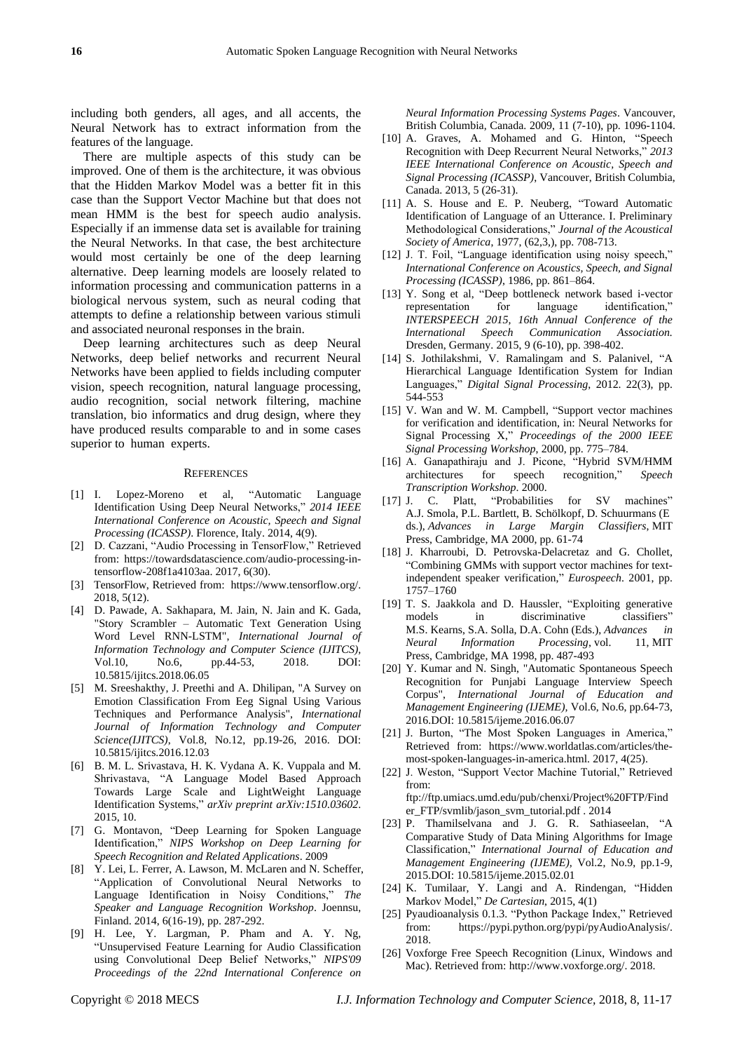including both genders, all ages, and all accents, the Neural Network has to extract information from the features of the language.

There are multiple aspects of this study can be improved. One of them is the architecture, it was obvious that the Hidden Markov Model was a better fit in this case than the Support Vector Machine but that does not mean HMM is the best for speech audio analysis. Especially if an immense data set is available for training the Neural Networks. In that case, the best architecture would most certainly be one of the deep learning alternative. Deep learning models are loosely related to information processing and communication patterns in a biological nervous system, such as neural coding that attempts to define a relationship between various stimuli and associated neuronal responses in the brain.

Deep learning architectures such as deep Neural Networks, deep belief networks and recurrent Neural Networks have been applied to fields including computer vision, speech recognition, natural language processing, audio recognition, social network filtering, machine translation, bio informatics and drug design, where they have produced results comparable to and in some cases superior to human experts.

#### **REFERENCES**

- [1] I. Lopez-Moreno et al, "Automatic Language Identification Using Deep Neural Networks," *2014 IEEE International Conference on Acoustic, Speech and Signal Processing (ICASSP)*. Florence, Italy. 2014, 4(9).
- [2] D. Cazzani, "Audio Processing in TensorFlow," Retrieved from: https://towardsdatascience.com/audio-processing-intensorflow-208f1a4103aa. 2017, 6(30).
- [3] TensorFlow, Retrieved from: [https://www.tensorflow.org/.](https://www.tensorflow.org/) 2018, 5(12).
- [4] D. Pawade, A. Sakhapara, M. Jain, N. Jain and K. Gada, "Story Scrambler – Automatic Text Generation Using Word Level RNN-LSTM", *International Journal of Information Technology and Computer Science (IJITCS),* Vol.10, No.6, pp.44-53, 2018. DOI: 10.5815/ijitcs.2018.06.05
- [5] M. Sreeshakthy, J. Preethi and A. Dhilipan, "A Survey on Emotion Classification From Eeg Signal Using Various Techniques and Performance Analysis", *International Journal of Information Technology and Computer Science(IJITCS)*, Vol.8, No.12, pp.19-26, 2016. DOI: 10.5815/ijitcs.2016.12.03
- [6] B. M. L. Srivastava, H. K. Vydana A. K. Vuppala and M. Shrivastava, "A Language Model Based Approach Towards Large Scale and LightWeight Language Identification Systems," *arXiv preprint arXiv:1510.03602*. 2015, 10.
- [7] G. Montavon, "Deep Learning for Spoken Language Identification," *NIPS Workshop on Deep Learning for Speech Recognition and Related Applications*. 2009
- [8] Y. Lei, L. Ferrer, A. Lawson, M. McLaren and N. Scheffer, "Application of Convolutional Neural Networks to Language Identification in Noisy Conditions," *The Speaker and Language Recognition Workshop*. Joennsu, Finland. 2014, 6(16-19), pp. 287-292.
- [9] H. Lee, Y. Largman, P. Pham and A. Y. Ng, "Unsupervised Feature Learning for Audio Classification using Convolutional Deep Belief Networks," *NIPS'09 Proceedings of the 22nd International Conference on*

*Neural Information Processing Systems Pages*. Vancouver, British Columbia, Canada. 2009, 11 (7-10), pp. 1096-1104.

- [10] A. Graves, A. Mohamed and G. Hinton, "Speech Recognition with Deep Recurrent Neural Networks," *2013 IEEE International Conference on Acoustic, Speech and Signal Processing (ICASSP)*, Vancouver, British Columbia, Canada. 2013, 5 (26-31).
- [11] A. S. House and E. P. Neuberg, "Toward Automatic Identification of Language of an Utterance. I. Preliminary Methodological Considerations," *Journal of the Acoustical Society of America*, 1977, (62,3,), pp. 708-713.
- [12] J. T. Foil, "Language identification using noisy speech," *International Conference on Acoustics, Speech, and Signal Processing (ICASSP)*, 1986, pp. 861–864.
- [13] Y. Song et al, "Deep bottleneck network based i-vector representation for language identification," *INTERSPEECH 2015, 16th Annual Conference of the International Speech Communication Association.* Dresden, Germany. 2015, 9 (6-10), pp. 398-402.
- [14] S. Jothilakshmi, V. Ramalingam and S. Palanivel, "A Hierarchical Language Identification System for Indian Languages," *Digital Signal Processing*, 2012. 22(3), pp. 544-553
- [15] V. Wan and W. M. Campbell, "Support vector machines for verification and identification, in: Neural Networks for Signal Processing X," *Proceedings of the 2000 IEEE Signal Processing Workshop*, 2000, pp. 775–784.
- [16] A. Ganapathiraju and J. Picone, "Hybrid SVM/HMM architectures for speech recognition," *Speech Transcription Workshop*. 2000.
- [17] J. C. Platt, "Probabilities for SV machines" A.J. Smola, P.L. Bartlett, B. Schölkopf, D. Schuurmans (E ds.), *Advances in Large Margin Classifiers*, MIT Press, Cambridge, MA 2000, pp. 61-74
- [18] J. Kharroubi, D. Petrovska-Delacretaz and G. Chollet, "Combining GMMs with support vector machines for textindependent speaker verification," *Eurospeech*. 2001, pp. 1757–1760
- [19] T. S. Jaakkola and D. Haussler, "Exploiting generative models in discriminative classifiers" M.S. Kearns, S.A. Solla, D.A. Cohn (Eds.), *Advances in Neural Information Processing*, vol. 11, MIT Press, Cambridge, MA 1998, pp. 487-493
- [20] Y. Kumar and N. Singh, "Automatic Spontaneous Speech Recognition for Punjabi Language Interview Speech Corpus", *International Journal of Education and Management Engineering (IJEME),* Vol.6, No.6, pp.64-73, 2016.DOI: 10.5815/ijeme.2016.06.07
- [21] J. Burton, "The Most Spoken Languages in America," Retrieved from: https://www.worldatlas.com/articles/themost-spoken-languages-in-america.html. 2017, 4(25).
- [22] J. Weston, "Support Vector Machine Tutorial," Retrieved from:

ftp://ftp.umiacs.umd.edu/pub/chenxi/Project%20FTP/Find er\_FTP/svmlib/jason\_svm\_tutorial.pdf . 2014

- [23] P. Thamilselvana and J. G. R. Sathiaseelan, "A Comparative Study of Data Mining Algorithms for Image Classification," *International Journal of Education and Management Engineering (IJEME),* Vol.2, No.9, pp.1-9, 2015.DOI: 10.5815/ijeme.2015.02.01
- [24] K. Tumilaar, Y. Langi and A. Rindengan, "Hidden Markov Model," *De Cartesian*, 2015, 4(1)
- [25] Pyaudioanalysis 0.1.3. "Python Package Index," Retrieved from: [https://pypi.python.org/pypi/pyAudioAnalysis/.](https://pypi.python.org/pypi/pyAudioAnalysis/)  2018.
- [26] Voxforge Free Speech Recognition (Linux, Windows and Mac). Retrieved from: [http://www.voxforge.org/.](http://www.voxforge.org/) 2018.